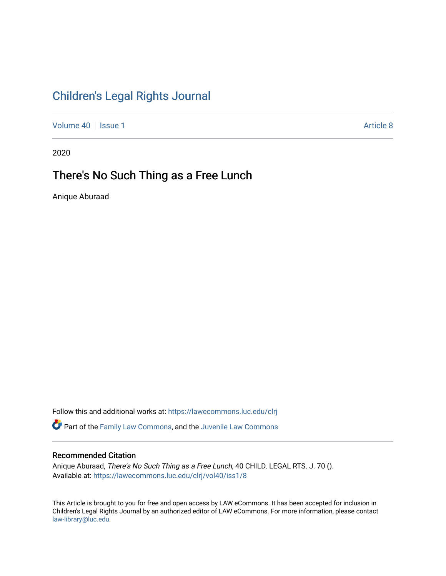# [Children's Legal Rights Journal](https://lawecommons.luc.edu/clrj)

[Volume 40](https://lawecommons.luc.edu/clrj/vol40) | [Issue 1](https://lawecommons.luc.edu/clrj/vol40/iss1) Article 8

2020

# There's No Such Thing as a Free Lunch

Anique Aburaad

Follow this and additional works at: [https://lawecommons.luc.edu/clrj](https://lawecommons.luc.edu/clrj?utm_source=lawecommons.luc.edu%2Fclrj%2Fvol40%2Fiss1%2F8&utm_medium=PDF&utm_campaign=PDFCoverPages)

Part of the [Family Law Commons,](http://network.bepress.com/hgg/discipline/602?utm_source=lawecommons.luc.edu%2Fclrj%2Fvol40%2Fiss1%2F8&utm_medium=PDF&utm_campaign=PDFCoverPages) and the [Juvenile Law Commons](http://network.bepress.com/hgg/discipline/851?utm_source=lawecommons.luc.edu%2Fclrj%2Fvol40%2Fiss1%2F8&utm_medium=PDF&utm_campaign=PDFCoverPages) 

### Recommended Citation

Anique Aburaad, There's No Such Thing as a Free Lunch, 40 CHILD. LEGAL RTS. J. 70 (). Available at: [https://lawecommons.luc.edu/clrj/vol40/iss1/8](https://lawecommons.luc.edu/clrj/vol40/iss1/8?utm_source=lawecommons.luc.edu%2Fclrj%2Fvol40%2Fiss1%2F8&utm_medium=PDF&utm_campaign=PDFCoverPages) 

This Article is brought to you for free and open access by LAW eCommons. It has been accepted for inclusion in Children's Legal Rights Journal by an authorized editor of LAW eCommons. For more information, please contact [law-library@luc.edu](mailto:law-library@luc.edu).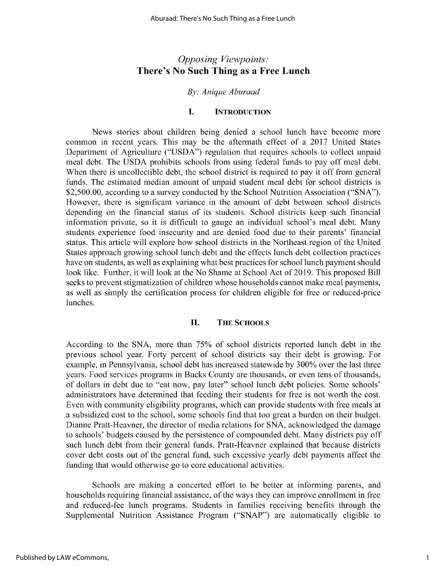# *Opposing Viewpoints:* **There's No Such Thing as a Free Lunch**

# *By: Anique Aburaad*

#### **I. INTRODUCTION**

News stories about children being denied a school lunch have become more common in recent years. This may be the aftermath effect of a 2017 United States Department of Agriculture ("USDA") regulation that requires schools to collect unpaid meal debt. The USDA prohibits schools from using federal funds to pay off meal debt. When there is uncollectible debt, the school district is required to pay it off from general funds. The estimated median amount of unpaid student meal debt for school districts is \$2,500.00, according to a survey conducted by the School Nutrition Association ("SNA"). However, there is significant variance in the amount of debt between school districts depending on the financial status of its students. School districts keep such financial information private, so it is difficult to gauge an individual school's meal debt. Many students experience food insecurity and are denied food due to their parents' financial status. This article will explore how school districts in the Northeast region of the United States approach growing school lunch debt and the effects lunch debt collection practices have on students, as well as explaining what best practices for school lunch payment should look like. Further, it will look at the No Shame at School Act of 2019. This proposed Bill seeks to prevent stigmatization of children whose households cannot make meal payments, as well as simply the certification process for children eligible for free or reduced-price lunches.

# **II. THE SCHOOLS**

According to the SNA, more than 75% of school districts reported lunch debt in the previous school year. Forty percent of school districts say their debt is growing. For example, in Pennsylvania, school debt has increased statewide by 300% over the last three years. Food services programs in Bucks County are thousands, or even tens of thousands, of dollars in debt due to "eat now, pay later" school lunch debt policies. Some schools' administrators have determined that feeding their students for free is not worth the cost. Even with community eligibility programs, which can provide students with free meals at a subsidized cost to the school, some schools find that too great a burden on their budget. Dianne Pratt-Heavner, the director of media relations for SNA, acknowledged the damage to schools' budgets caused by the persistence of compounded debt. Many districts pay off such lunch debt from their general funds. Pratt-Heavner explained that because districts cover debt costs out of the general fund, such excessive yearly debt payments affect the funding that would otherwise go to core educational activities.

Schools are making a concerted effort to be better at informing parents, and households requiring financial assistance, of the ways they can improve enrollment in free and reduced-fee lunch programs. Students in families receiving benefits through the Supplemental Nutrition Assistance Program ("SNAP") are automatically eligible to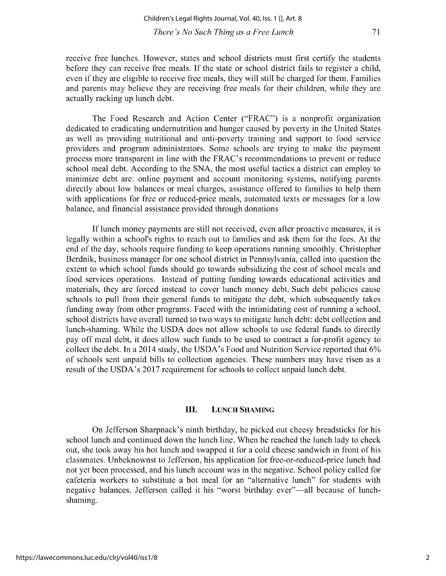71

**receive free lunches. However, states and school districts must first certify the students** before they can receive free meals. If the state or school district fails to register a child, even if they are eligible to receive free meals, they will still be charged for them. Families and parents may believe they are receiving free meals for their children, while they are actually racking up lunch debt.

The Food Research and Action Center ("FRAC") is a nonprofit organization dedicated to eradicating undernutrition and hunger caused by poverty in the United States **as well as providing nutritional and anti-poverty training and support to food service** providers and program administrators. Some schools are trying to make the payment **process more transparent in line with the FRAC's recommendations to prevent or reduce** school meal debt. According to the SNA, the most useful tactics a district can employ to **minimize debt are: online payment and account monitoring systems, notifying parents directly about low balances or meal charges, assistance offered to families to help them** with applications for free or reduced-price meals, automated texts or messages for a low **balance, and financial assistance provided through donations**

If lunch money payments are still not received, even after proactive measures, it is legally within a school's rights to reach out to families and ask them for the fees. At the **end of the day, schools require funding to keep operations running smoothly. Christopher Berdnik, business manager for one school district in Pennsylvania, called into question the extent to which school funds should go towards subsidizing the cost of school meals and food services operations. Instead of putting funding towards educational activities and** materials, they are forced instead to cover lunch money debt. Such debt policies cause schools to pull from their general funds to mitigate the debt, which subsequently takes **funding away from other programs. Faced with the intimidating cost of running a school,** school districts have overall turned to two ways to mitigate lunch debt: debt collection and lunch-shaming. While the USDA does not allow schools to use federal funds to directly pay off meal debt, it does allow such funds to be used to contract a for-profit agency to collect the debt. In a 2014 study, the USDA's Food and Nutrition Service reported that 6% of schools sent unpaid bills to collection agencies. These numbers may have risen as a result of the USDA's 2017 requirement for schools to collect unpaid lunch debt.

#### **III. LUNCH SHAMING**

On Jefferson Sharpnack's ninth birthday, he picked out cheesy breadsticks for his school lunch and continued down the lunch line. When he reached the lunch lady to check out, she took away his hot lunch and swapped it for a cold cheese sandwich in front of his **classmates. Unbeknownst to Jefferson, his application for free-or-reduced-price lunch had not yet been processed, and his lunch account was in the negative. School policy called for cafeteria workers to substitute a hot meal for an "alternative lunch" for students with** negative balances. Jefferson called it his "worst birthday ever"—all because of lunch**shaming.**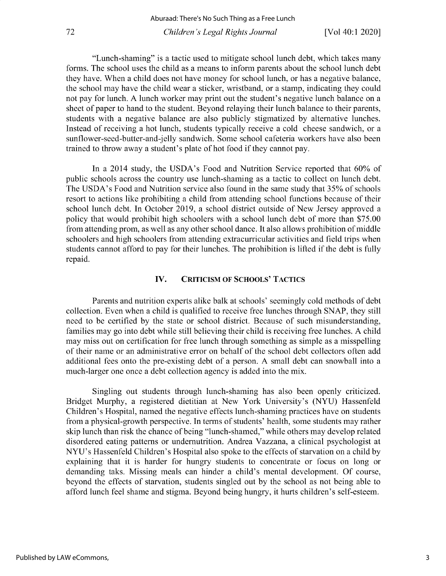"Lunch-shaming" is a tactic used to mitigate school lunch debt, which takes many forms. The school uses the child as a means to inform parents about the school lunch debt they have. When a child does not have money for school lunch, or has a negative balance, the school may have the child wear a sticker, wristband, or a stamp, indicating they could not pay for lunch. A lunch worker may print out the student's negative lunch balance on a sheet of paper to hand to the student. Beyond relaying their lunch balance to their parents, **students with a negative balance are also publicly stigmatized by alternative lunches.** Instead of receiving a hot lunch, students typically receive a cold cheese sandwich, or a sunflower-seed-butter-and-jelly sandwich. Some school cafeteria workers have also been trained to throw away a student's plate of hot food if they cannot pay.

In a 2014 study, the USDA's Food and Nutrition Service reported that 60% of **public schools across the country use lunch-shaming as a tactic to collect on lunch debt.** The USDA's Food and Nutrition service also found in the same study that *35%* of schools resort to actions like prohibiting a child from attending school functions because of their school lunch debt. In October 2019, a school district outside of New Jersey approved a policy that would prohibit high schoolers with a school lunch debt of more than *\$75.00* **from attending prom, as well as any other school dance. It also allows prohibition of middle schoolers and high schoolers from attending extracurricular activities and field trips when** students cannot afford to pay for their lunches. The prohibition is lifted if the debt is fully **repaid.**

### **IV. CRITICISM OF SCHOOLS' TACTICS**

Parents and nutrition experts alike balk at schools' seemingly cold methods of debt collection. Even when a child is qualified to receive free lunches through SNAP, they still need to be certified by the state or school district. Because of such misunderstanding, families may go into debt while still believing their child is receiving free lunches. A child **may miss out on certification for free lunch through something as simple as a misspelling** of their name or an administrative error on behalf of the school debt collectors often add **additional fees onto the pre-existing debt of a person. A small debt can snowball into a much-larger one once a debt collection agency is added into the mix.**

**Singling out students through lunch-shaming has also been openly criticized.** Bridget Murphy, a registered dietitian at New York University's (NYU) Hassenfeld **Children's Hospital, named the negative effects lunch-shaming practices have on students from a physical-growth perspective. In terms of students' health, some students may rather** skip lunch than risk the chance of being "lunch-shamed," while others may develop related **disordered eating patterns or undernutrition. Andrea Vazzana, a clinical psychologist at** NYU's Hassenfeld Children's Hospital also spoke to the effects of starvation on a child by **explaining that it is harder for hungry students to concentrate or focus on long or demanding taks. Missing meals can hinder a child's mental development. Of course,** beyond the effects of starvation, students singled out by the school as not being able to afford lunch feel shame and stigma. Beyond being hungry, it hurts children's self-esteem.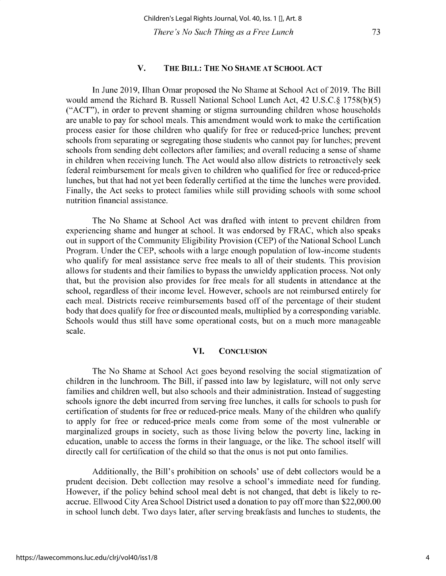### **V. THE BILL: THE NO SHAME AT SCHOOL ACT**

In June 2019, Ilhan Omar proposed the No Shame at School Act of 2019. The Bill would amend the Richard B. Russell National School Lunch Act, 42 U.S.C.§ 1758(b)(5) ("ACT"), in order to prevent shaming or stigma surrounding children whose households are unable to pay for school meals. This amendment would work to make the certification process easier for those children who qualify for free or reduced-price lunches; prevent **schools from separating or segregating those students who cannot pay for lunches; prevent schools from sending debt collectors after families; and overall reducing a sense of shame** in children when receiving lunch. The Act would also allow districts to retroactively seek **federal reimbursement for meals given to children who qualified for free or reduced-price** lunches, but that had not yet been federally certified at the time the lunches were provided. Finally, the Act seeks to protect families while still providing schools with some school **nutrition financial assistance.**

The No Shame at School Act was drafted with intent to prevent children from **experiencing shame and hunger at school. It was endorsed by FRAC, which also speaks** out in support of the Community Eligibility Provision (CEP) of the National School Lunch **Program. Under the CEP, schools with a large enough population of low-income students** who qualify for meal assistance serve free meals to all of their students. This provision allows for students and their families to bypass the unwieldy application process. Not only **that, but the provision also provides for free meals for all students in attendance at the school, regardless of their income level. However, schools are not reimbursed entirely for each meal. Districts receive reimbursements based off of the percentage of their student** body that does qualify for free or discounted meals, multiplied by a corresponding variable. **Schools would thus still have some operational costs, but on a much more manageable scale.**

#### **VI. CONCLUSION**

**The No Shame at School Act goes beyond resolving the social stigmatization of** children in the lunchroom. The Bill, if passed into law by legislature, will not only serve **families and children well, but also schools and their administration. Instead of suggesting schools ignore the debt incurred from serving free lunches, it calls for schools to push for** certification of students for free or reduced-price meals. Many of the children who qualify to apply for free or reduced-price meals come from some of the most vulnerable or marginalized groups in society, such as those living below the poverty line, lacking in education, unable to access the forms in their language, or the like. The school itself will directly call for certification of the child so that the onus is not put onto families.

Additionally, the Bill's prohibition on schools' use of debt collectors would be a **prudent decision. Debt collection may resolve a school's immediate need for funding.** However, if the policy behind school meal debt is not changed, that debt is likely to reaccrue. Ellwood City Area School District used a donation to pay off more than \$22,000.00 **in school lunch debt. Two days later, after serving breakfasts and lunches to students, the**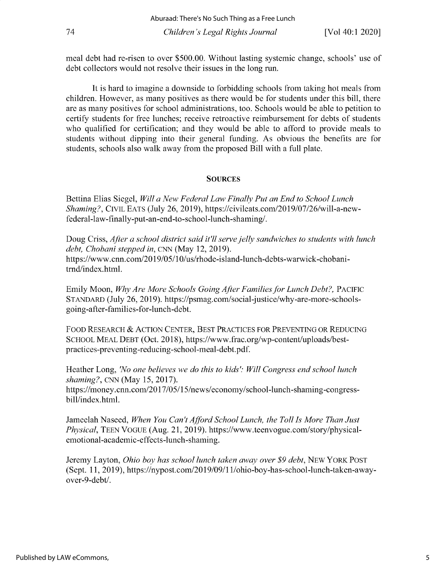**meal debt had re-risen to over \$500.00. Without lasting systemic change, schools' use of debt collectors would not resolve their issues in the long run.**

It is hard to imagine a downside to forbidding schools from taking hot meals from children. However, as many positives as there would be for students under this bill, there **are as many positives for school administrations, too. Schools would be able to petition to** certify students for free lunches; receive retroactive reimbursement for debts of students who qualified for certification; and they would be able to afford to provide meals to students without dipping into their general funding. As obvious the benefits are for students, schools also walk away from the proposed Bill with a full plate.

# **SOURCES**

**Bettina Elias Siegel,** *Will a New Federal Law Finally Put an End to School Lunch Shaming?,* CIVIL EATS (July 26, 2019), https://civileats.com/2019/07/26/will-a-newfederal-law-finally-put-an-end-to-school-lunch-shaming/.

Doug Criss, *After a school district said it'll serve jelly sandwiches to students with lunch debt, Chobani stepped in,* CNN (May 12, 2019). https://www.cnn.com/2019/05/1 0/us/rhode-island-lunch-debts-warwick-chobanitrnd/index.html.

Emily Moon, *Why Are More Schools Going After Families for Lunch Debt?,* PACIFIC **STANDARD (July 26, 2019). https://psmag.com/social-justice/why-are-more-schools**going-after-families-for-lunch-debt.

FOOD RESEARCH & ACTION CENTER, BEST PRACTICES FOR PREVENTING OR REDUCING SCHOOL MEAL DEBT (Oct. 2018), https://www.frac.org/wp-content/uploads/best**practices-preventing-reducing-school-meal-debt.pdf.**

Heather Long, *'No one believes we do this to kids': Will Congress end school lunch shaming?,* CNN (May 15, 2017). https://money. cnn. com/2017/05/15/news/economy/school-lunch-shaming-congressbill/index.html.

Jameelah Naseed, *When You Can't Afford School Lunch, the Toll Is More Than Just Physical,* TEEN VOGUE (Aug. 21, 2019). https://www.teenvogue.com/story/physical**emotional-academic-effects-lunch-shaming.**

Jeremy Layton, *Ohio boy has school lunch taken away over \$9 debt,* NEW YORK POST (Sept. 11, 2019), https://nypost.com/2019/09/11/ohio-boy-has-school-lunch-taken-awayover-9-debt/.